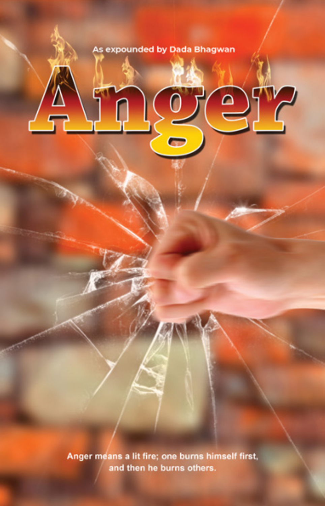#### As expounded by Dada Bhagwan

Anger means a lit fire; one burns himself first, and then he burns others.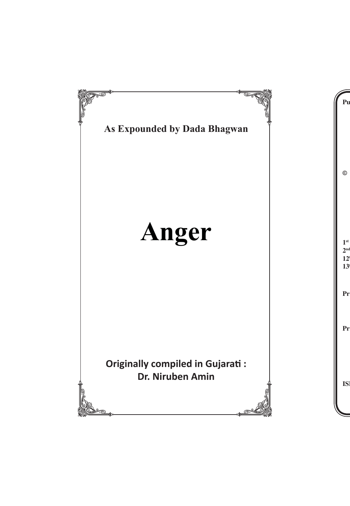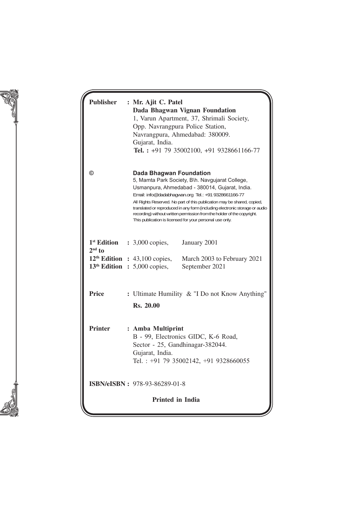| <b>Publisher</b>        |  | : Mr. Ajit C. Patel<br>Dada Bhagwan Vignan Foundation<br>1, Varun Apartment, 37, Shrimali Society,<br>Opp. Navrangpura Police Station,<br>Navrangpura, Ahmedabad: 380009.<br>Gujarat, India.<br>Tel.: +91 79 35002100, +91 9328661166-77                                                                                                                                                                                                                                                    |  |  |
|-------------------------|--|---------------------------------------------------------------------------------------------------------------------------------------------------------------------------------------------------------------------------------------------------------------------------------------------------------------------------------------------------------------------------------------------------------------------------------------------------------------------------------------------|--|--|
| ◎                       |  | <b>Dada Bhagwan Foundation</b><br>5, Mamta Park Society, B\h. Navgujarat College,<br>Usmanpura, Ahmedabad - 380014, Gujarat, India.<br>Email: info@dadabhaqwan.org Tel.: +91 9328661166-77<br>All Rights Reserved. No part of this publication may be shared, copied,<br>translated or reproduced in any form (including electronic storage or audio<br>recording) without written permission from the holder of the copyright.<br>This publication is licensed for your personal use only. |  |  |
| <sup>1st</sup> Edition  |  | : 3,000 copies,<br>January 2001                                                                                                                                                                                                                                                                                                                                                                                                                                                             |  |  |
| $2nd$ to                |  | $12th$ Edition : 43,100 copies,<br>March 2003 to February 2021<br>$13th$ Edition : 5,000 copies,<br>September 2021                                                                                                                                                                                                                                                                                                                                                                          |  |  |
| <b>Price</b>            |  | : Ultimate Humility & "I Do not Know Anything'<br>Rs. 20.00                                                                                                                                                                                                                                                                                                                                                                                                                                 |  |  |
| <b>Printer</b>          |  | : Amba Multiprint<br>B - 99, Electronics GIDC, K-6 Road,<br>Sector - 25, Gandhinagar-382044.<br>Gujarat, India.<br>Tel.: +91 79 35002142, +91 9328660055                                                                                                                                                                                                                                                                                                                                    |  |  |
|                         |  | ISBN/eISBN: 978-93-86289-01-8                                                                                                                                                                                                                                                                                                                                                                                                                                                               |  |  |
| <b>Printed in India</b> |  |                                                                                                                                                                                                                                                                                                                                                                                                                                                                                             |  |  |
|                         |  |                                                                                                                                                                                                                                                                                                                                                                                                                                                                                             |  |  |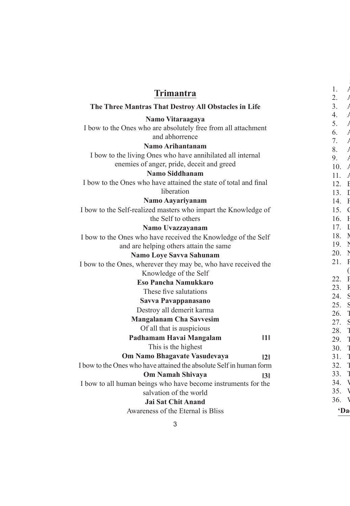### **Trimantra**

#### **The Three Mantras That Destroy All Obstacles in Life**

#### **Namo Vitaraagaya**

I bow to the Ones who are absolutely free from all attachment and abhorrence

#### **Namo Ar ihantanam**

I bow to the living Ones who have annihilated all internal enemies of anger, pride, deceit and greed

#### **Namo Siddhanam**

I bow to the Ones who have attained the state of total and final liberation

#### **Namo Aayariyanam**

I bow to the Self-realized masters who impart the Knowledge of the Self to others

#### **Namo Uvazzayanam**

I bow to the Ones who have received the Knowledge of the Self and are helping others attain the same

#### **Namo Loye Savva Sahunam**

I bow to the Ones, wherever they may be, who have received the Knowledge of the Self

#### **Eso Pancha Namukkaro**

These five salutations

#### **Savva Pavappanasano**

Destroy all demerit karma

#### **Mangalanam Cha Savvesim**

Of all that is auspicious

#### **ǁ1ǁ Padhamam Havai Mangalam**

This is the highest

#### **ǁ2ǁ Om Namo Bhagavate Vasudevaya**

**ǁ3ǁ**

I bow to the Ones who have attained the absolute Self in human form

#### **Om Namah Shivaya**

I bow to all human beings who have become instruments for the salvation of the world

#### **Jai Sat Chit Anand**

Awareness of the Eternal is Bliss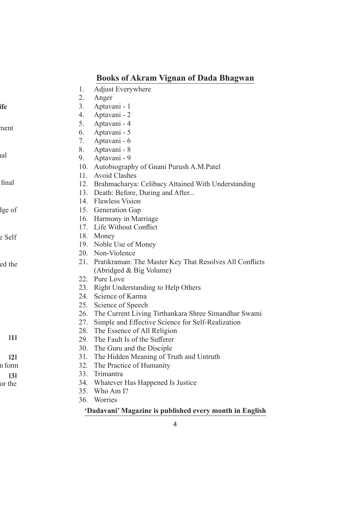## **Books of Akram Vignan of Dada Bhagwan**

- 1. Adjust Everywhere
- 2. Anger
- 3. Aptavani 1
- 4. Aptavani 2
- 5. Aptavani 4
- 6. Aptavani 5
- 7. Aptavani 6
- 8. Aptavani 8
- 9. Aptavani 9
- 10. Autobiography of Gnani Purush A.M.Patel
- 11. Avoid Clashes
- 12. Brahmacharya: Celibacy Attained With Understanding
- 13. Death: Before, During and After...
- 14. Flawless Vision
- 15. Generation Gap
- 16. Harmony in Marriage
- 17. Life Without Conflict
- 18. Money
- 19. Noble Use of Money
- 20. Non-Violence
- 21. Pratikraman: The Master Key That Resolves All Conflicts (Abridged & Big Volume)
- 22. Pure Love
- 23. Right Understanding to Help Others
- 24. Science of Karma
- 25. Science of Speech
- 26. The Current Living Tirthankara Shree Simandhar Swami
- 27. Simple and Effective Science for Self-Realization
- 28. The Essence of All Religion
- 29. The Fault Is of the Sufferer
- 30. The Guru and the Disciple
- 31. The Hidden Meaning of Truth and Untruth
- 32. The Practice of Humanity
- 33. Trimantra
- 34. Whatever Has Happened Is Justice
- 35. Who Am I?
- 36. Worries

#### **'Dadavani' Magazine is published every month in English**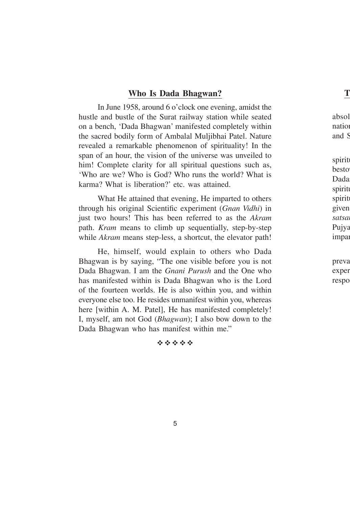#### **Who Is Dada Bhagwan?**

In June 1958, around 6 o'clock one evening, amidst the hustle and bustle of the Surat railway station while seated on a bench, 'Dada Bhagwan' manifested completely within the sacred bodily form of Ambalal Muljibhai Patel. Nature revealed a remarkable phenomenon of spirituality! In the span of an hour, the vision of the universe was unveiled to him! Complete clarity for all spiritual questions such as, 'Who are we? Who is God? Who runs the world? What is karma? What is liberation?' etc. was attained.

What He attained that evening, He imparted to others through his original Scientific experiment (*Gnan Vidhi*) in just two hours! This has been referred to as the *Akram* path. *Kram* means to climb up sequentially, step-by-step while *Akram* means step-less, a shortcut, the elevator path!

He, himself, would explain to others who Dada Bhagwan is by saying, "The one visible before you is not Dada Bhagwan. I am the *Gnani Purush* and the One who has manifested within is Dada Bhagwan who is the Lord of the fourteen worlds. He is also within you, and within everyone else too. He resides unmanifest within you, whereas here [within A. M. Patel], He has manifested completely! I, myself, am not God (*Bhagwan*); I also bow down to the Dada Bhagwan who has manifest within me."

#### $45.45.45.45.45$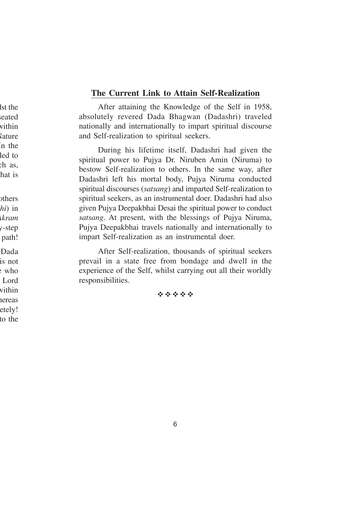#### **The Current Link to Attain Self-Realization**

After attaining the Knowledge of the Self in 1958, absolutely revered Dada Bhagwan (Dadashri) traveled nationally and internationally to impart spiritual discourse and Self-realization to spiritual seekers.

During his lifetime itself, Dadashri had given the spiritual power to Pujya Dr. Niruben Amin (Niruma) to bestow Self-realization to others. In the same way, after Dadashri left his mortal body, Pujya Niruma conducted spiritual discourses (*satsang*) and imparted Self-realization to spiritual seekers, as an instrumental doer. Dadashri had also given Pujya Deepakbhai Desai the spiritual power to conduct *satsang*. At present, with the blessings of Pujya Niruma, Pujya Deepakbhai travels nationally and internationally to impart Self-realization as an instrumental doer.

After Self-realization, thousands of spiritual seekers prevail in a state free from bondage and dwell in the experience of the Self, whilst carrying out all their worldly responsibilities.

#### 安全安全安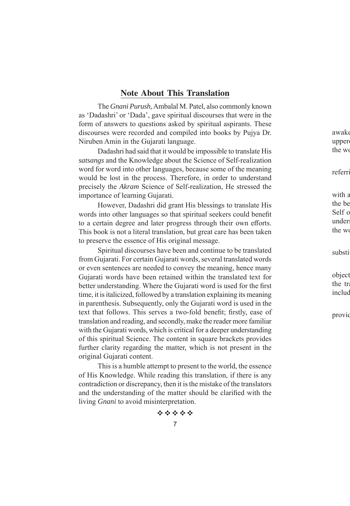#### **Note About This Translation**

The *Gnani Purush*, Ambalal M. Patel, also commonly known as 'Dadashri' or 'Dada', gave spiritual discourses that were in the form of answers to questions asked by spiritual aspirants. These discourses were recorded and compiled into books by Pujya Dr. Niruben Amin in the Gujarati language.

Dadashri had said that it would be impossible to translate His *satsangs* and the Knowledge about the Science of Self-realization word for word into other languages, because some of the meaning would be lost in the process. Therefore, in order to understand precisely the *Akram* Science of Self-realization, He stressed the importance of learning Gujarati.

However, Dadashri did grant His blessings to translate His words into other languages so that spiritual seekers could benefit to a certain degree and later progress through their own efforts. This book is not a literal translation, but great care has been taken to preserve the essence of His original message.

Spiritual discourses have been and continue to be translated from Gujarati. For certain Gujarati words, several translated words or even sentences are needed to convey the meaning, hence many Gujarati words have been retained within the translated text for better understanding. Where the Gujarati word is used for the first time, it is italicized, followed by a translation explaining its meaning in parenthesis. Subsequently, only the Gujarati word is used in the text that follows. This serves a two-fold benefit; firstly, ease of translation and reading, and secondly, make the reader more familiar with the Gujarati words, which is critical for a deeper understanding of this spiritual Science. The content in square brackets provides further clarity regarding the matter, which is not present in the original Gujarati content.

This is a humble attempt to present to the world, the essence of His Knowledge. While reading this translation, if there is any contradiction or discrepancy, then it is the mistake of the translators and the understanding of the matter should be clarified with the living *Gnani* to avoid misinterpretation.

de de la de la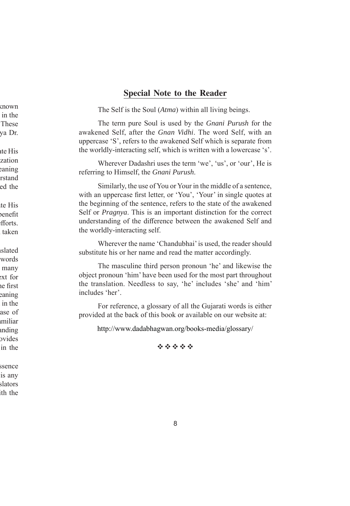#### **Special Note to the Reader**

The Self is the Soul (*Atma*) within all living beings.

The term pure Soul is used by the *Gnani Purush* for the awakened Self, after the *Gnan Vidhi*. The word Self, with an uppercase 'S', refers to the awakened Self which is separate from the worldly-interacting self, which is written with a lowercase 's'.

Wherever Dadashri uses the term 'we', 'us', or 'our', He is referring to Himself, the *Gnani Purush*.

Similarly, the use of You or Your in the middle of a sentence, with an uppercase first letter, or 'You', 'Your' in single quotes at the beginning of the sentence, refers to the state of the awakened Self or *Pragnya*. This is an important distinction for the correct understanding of the difference between the awakened Self and the worldly-interacting self.

Wherever the name 'Chandubhai' is used, the reader should substitute his or her name and read the matter accordingly.

The masculine third person pronoun 'he' and likewise the object pronoun 'him' have been used for the most part throughout the translation. Needless to say, 'he' includes 'she' and 'him' includes 'her'.

For reference, a glossary of all the Gujarati words is either provided at the back of this book or available on our website at:

http://www.dadabhagwan.org/books-media/glossary/

经合作合作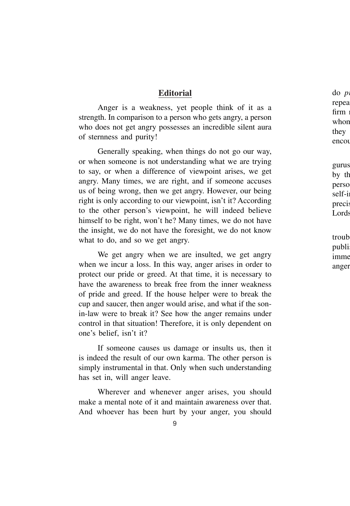#### **Editorial**

Anger is a weakness, yet people think of it as a strength. In comparison to a person who gets angry, a person who does not get angry possesses an incredible silent aura of sternness and purity!

Generally speaking, when things do not go our way, or when someone is not understanding what we are trying to say, or when a difference of viewpoint arises, we get angry. Many times, we are right, and if someone accuses us of being wrong, then we get angry. However, our being right is only according to our viewpoint, isn't it? According to the other person's viewpoint, he will indeed believe himself to be right, won't he? Many times, we do not have the insight, we do not have the foresight, we do not know what to do, and so we get angry.

We get angry when we are insulted, we get angry when we incur a loss. In this way, anger arises in order to protect our pride or greed. At that time, it is necessary to have the awareness to break free from the inner weakness of pride and greed. If the house helper were to break the cup and saucer, then anger would arise, and what if the sonin-law were to break it? See how the anger remains under control in that situation! Therefore, it is only dependent on one's belief, isn't it?

If someone causes us damage or insults us, then it is indeed the result of our own karma. The other person is simply instrumental in that. Only when such understanding has set in, will anger leave.

Wherever and whenever anger arises, you should make a mental note of it and maintain awareness over that. And whoever has been hurt by your anger, you should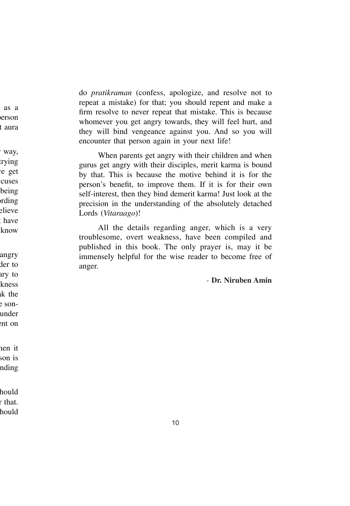do *pratikraman* (confess, apologize, and resolve not to repeat a mistake) for that; you should repent and make a firm resolve to never repeat that mistake. This is because whomever you get angry towards, they will feel hurt, and they will bind vengeance against you. And so you will encounter that person again in your next life!

When parents get angry with their children and when gurus get angry with their disciples, merit karma is bound by that. This is because the motive behind it is for the person's benefit, to improve them. If it is for their own self-interest, then they bind demerit karma! Just look at the precision in the understanding of the absolutely detached Lords (*Vitaraago*)!

All the details regarding anger, which is a very troublesome, overt weakness, have been compiled and published in this book. The only prayer is, may it be immensely helpful for the wise reader to become free of anger.

- **Dr. Niruben Amin**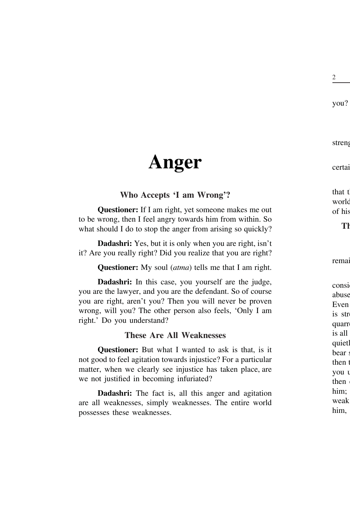# **Anger**

## **Who Accepts 'I am Wrong'?**

**Questioner:** If I am right, yet someone makes me out to be wrong, then I feel angry towards him from within. So what should I do to stop the anger from arising so quickly?

**Dadashri:** Yes, but it is only when you are right, isn't it? Are you really right? Did you realize that you are right?

**Questioner:** My soul (*atma*) tells me that I am right.

**Dadashri:** In this case, you yourself are the judge, you are the lawyer, and you are the defendant. So of course you are right, aren't you? Then you will never be proven wrong, will you? The other person also feels, 'Only I am right.' Do you understand?

## **These Are All Weaknesses**

**Questioner:** But what I wanted to ask is that, is it not good to feel agitation towards injustice? For a particular matter, when we clearly see injustice has taken place, are we not justified in becoming infuriated?

**Dadashri:** The fact is, all this anger and agitation are all weaknesses, simply weaknesses. The entire world possesses these weaknesses.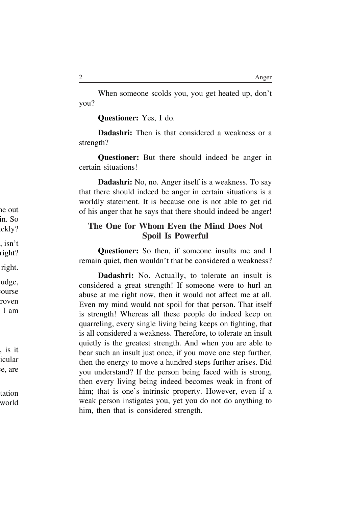When someone scolds you, you get heated up, don't you?

**Questioner:** Yes, I do.

**Dadashri:** Then is that considered a weakness or a strength?

**Questioner:** But there should indeed be anger in certain situations!

**Dadashri:** No, no. Anger itself is a weakness. To say that there should indeed be anger in certain situations is a worldly statement. It is because one is not able to get rid of his anger that he says that there should indeed be anger!

#### **The One for Whom Even the Mind Does Not Spoil Is Powerful**

**Questioner:** So then, if someone insults me and I remain quiet, then wouldn't that be considered a weakness?

**Dadashri:** No. Actually, to tolerate an insult is considered a great strength! If someone were to hurl an abuse at me right now, then it would not affect me at all. Even my mind would not spoil for that person. That itself is strength! Whereas all these people do indeed keep on quarreling, every single living being keeps on fighting, that is all considered a weakness. Therefore, to tolerate an insult quietly is the greatest strength. And when you are able to bear such an insult just once, if you move one step further, then the energy to move a hundred steps further arises. Did you understand? If the person being faced with is strong, then every living being indeed becomes weak in front of him; that is one's intrinsic property. However, even if a weak person instigates you, yet you do not do anything to him, then that is considered strength.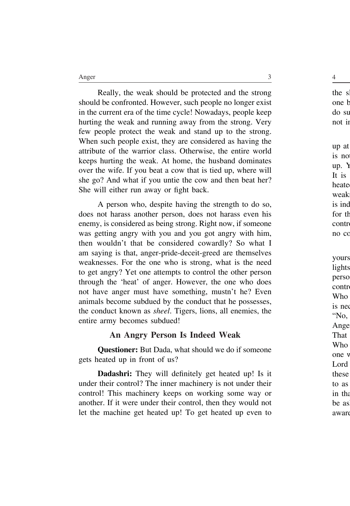Really, the weak should be protected and the strong should be confronted. However, such people no longer exist in the current era of the time cycle! Nowadays, people keep hurting the weak and running away from the strong. Very few people protect the weak and stand up to the strong. When such people exist, they are considered as having the attribute of the warrior class. Otherwise, the entire world keeps hurting the weak. At home, the husband dominates over the wife. If you beat a cow that is tied up, where will she go? And what if you untie the cow and then beat her? She will either run away or fight back.

A person who, despite having the strength to do so, does not harass another person, does not harass even his enemy, is considered as being strong. Right now, if someone was getting angry with you and you got angry with him, then wouldn't that be considered cowardly? So what I am saying is that, anger-pride-deceit-greed are themselves weaknesses. For the one who is strong, what is the need to get angry? Yet one attempts to control the other person through the 'heat' of anger. However, the one who does not have anger must have something, mustn't he? Even animals become subdued by the conduct that he possesses, the conduct known as *sheel*. Tigers, lions, all enemies, the entire army becomes subdued!

#### **An Angry Person Is Indeed Weak**

**Questioner:** But Dada, what should we do if someone gets heated up in front of us?

**Dadashri:** They will definitely get heated up! Is it under their control? The inner machinery is not under their control! This machinery keeps on working some way or another. If it were under their control, then they would not let the machine get heated up! To get heated up even to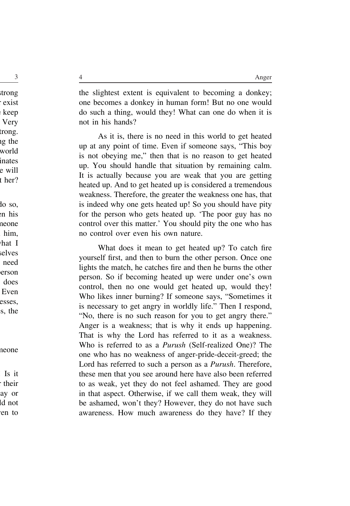the slightest extent is equivalent to becoming a donkey; one becomes a donkey in human form! But no one would do such a thing, would they! What can one do when it is not in his hands?

As it is, there is no need in this world to get heated up at any point of time. Even if someone says, "This boy is not obeying me," then that is no reason to get heated up. You should handle that situation by remaining calm. It is actually because you are weak that you are getting heated up. And to get heated up is considered a tremendous weakness. Therefore, the greater the weakness one has, that is indeed why one gets heated up! So you should have pity for the person who gets heated up. 'The poor guy has no control over this matter.' You should pity the one who has no control over even his own nature.

What does it mean to get heated up? To catch fire yourself first, and then to burn the other person. Once one lights the match, he catches fire and then he burns the other person. So if becoming heated up were under one's own control, then no one would get heated up, would they! Who likes inner burning? If someone says, "Sometimes it is necessary to get angry in worldly life." Then I respond, "No, there is no such reason for you to get angry there." Anger is a weakness; that is why it ends up happening. That is why the Lord has referred to it as a weakness. Who is referred to as a *Purush* (Self-realized One)? The one who has no weakness of anger-pride-deceit-greed; the Lord has referred to such a person as a *Purush*. Therefore, these men that you see around here have also been referred to as weak, yet they do not feel ashamed. They are good in that aspect. Otherwise, if we call them weak, they will be ashamed, won't they? However, they do not have such awareness. How much awareness do they have? If they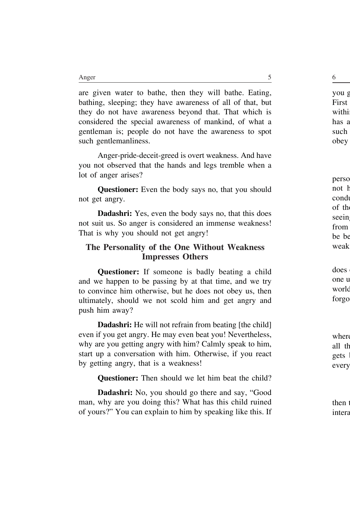are given water to bathe, then they will bathe. Eating, bathing, sleeping; they have awareness of all of that, but they do not have awareness beyond that. That which is considered the special awareness of mankind, of what a gentleman is; people do not have the awareness to spot such gentlemanliness.

Anger-pride-deceit-greed is overt weakness. And have you not observed that the hands and legs tremble when a lot of anger arises?

**Questioner:** Even the body says no, that you should not get angry.

**Dadashri:** Yes, even the body says no, that this does not suit us. So anger is considered an immense weakness! That is why you should not get angry!

#### **The Personality of the One Without Weakness Impresses Others**

**Questioner:** If someone is badly beating a child and we happen to be passing by at that time, and we try to convince him otherwise, but he does not obey us, then ultimately, should we not scold him and get angry and push him away?

**Dadashri:** He will not refrain from beating [the child] even if you get angry. He may even beat you! Nevertheless, why are you getting angry with him? Calmly speak to him, start up a conversation with him. Otherwise, if you react by getting angry, that is a weakness!

**Questioner:** Then should we let him beat the child?

**Dadashri:** No, you should go there and say, "Good man, why are you doing this? What has this child ruined of yours?" You can explain to him by speaking like this. If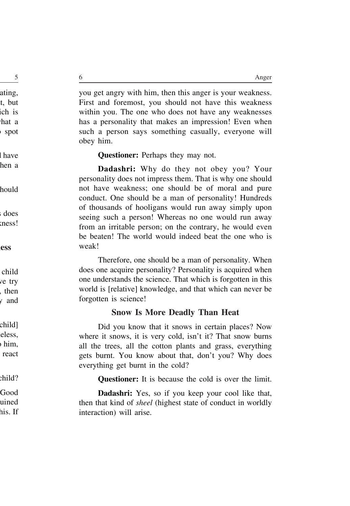you get angry with him, then this anger is your weakness. First and foremost, you should not have this weakness within you. The one who does not have any weaknesses has a personality that makes an impression! Even when such a person says something casually, everyone will obey him.

**Questioner:** Perhaps they may not.

**Dadashri:** Why do they not obey you? Your personality does not impress them. That is why one should not have weakness; one should be of moral and pure conduct. One should be a man of personality! Hundreds of thousands of hooligans would run away simply upon seeing such a person! Whereas no one would run away from an irritable person; on the contrary, he would even be beaten! The world would indeed beat the one who is weak!

Therefore, one should be a man of personality. When does one acquire personality? Personality is acquired when one understands the science. That which is forgotten in this world is [relative] knowledge, and that which can never be forgotten is science!

## **Snow Is More Deadly Than Heat**

Did you know that it snows in certain places? Now where it snows, it is very cold, isn't it? That snow burns all the trees, all the cotton plants and grass, everything gets burnt. You know about that, don't you? Why does everything get burnt in the cold?

**Questioner:** It is because the cold is over the limit.

**Dadashri:** Yes, so if you keep your cool like that, then that kind of *sheel* (highest state of conduct in worldly interaction) will arise.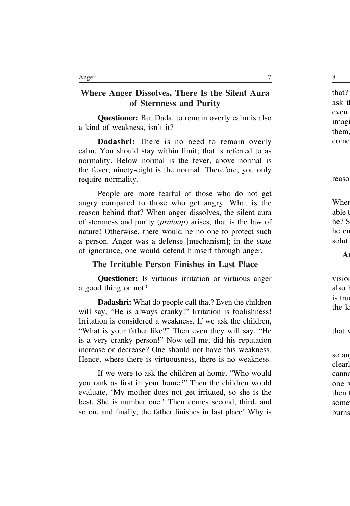# **Where Anger Dissolves, There Is the Silent Aura of Sternness and Purity**

**Questioner:** But Dada, to remain overly calm is also a kind of weakness, isn't it?

**Dadashri:** There is no need to remain overly calm. You should stay within limit; that is referred to as normality. Below normal is the fever, above normal is the fever, ninety-eight is the normal. Therefore, you only require normality.

People are more fearful of those who do not get angry compared to those who get angry. What is the reason behind that? When anger dissolves, the silent aura of sternness and purity (*prataap*) arises, that is the law of nature! Otherwise, there would be no one to protect such a person. Anger was a defense [mechanism]; in the state of ignorance, one would defend himself through anger.

#### **The Irritable Person Finishes in Last Place**

**Questioner:** Is virtuous irritation or virtuous anger a good thing or not?

**Dadashri:** What do people call that? Even the children will say, "He is always cranky!" Irritation is foolishness! Irritation is considered a weakness. If we ask the children, "What is your father like?" Then even they will say, "He is a very cranky person!" Now tell me, did his reputation increase or decrease? One should not have this weakness. Hence, where there is virtuousness, there is no weakness.

If we were to ask the children at home, "Who would you rank as first in your home?" Then the children would evaluate, 'My mother does not get irritated, so she is the best. She is number one.' Then comes second, third, and so on, and finally, the father finishes in last place! Why is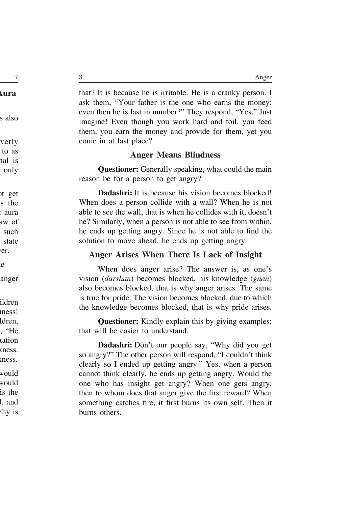that? It is because he is irritable. He is a cranky person. I ask them, "Your father is the one who earns the money; even then he is last in number?" They respond, "Yes." Just imagine! Even though you work hard and toil, you feed them, you earn the money and provide for them, yet you come in at last place?

#### **Anger Means Blindness**

**Questioner:** Generally speaking, what could the main reason be for a person to get angry?

**Dadashri:** It is because his vision becomes blocked! When does a person collide with a wall? When he is not able to see the wall, that is when he collides with it, doesn't he? Similarly, when a person is not able to see from within, he ends up getting angry. Since he is not able to find the solution to move ahead, he ends up getting angry.

## **Anger Arises When There Is Lack of Insight**

When does anger arise? The answer is, as one's vision (*darshan*) becomes blocked, his knowledge (*gnan*) also becomes blocked, that is why anger arises. The same is true for pride. The vision becomes blocked, due to which the knowledge becomes blocked, that is why pride arises.

**Questioner:** Kindly explain this by giving examples; that will be easier to understand.

**Dadashri:** Don't our people say, "Why did you get so angry?" The other person will respond, "I couldn't think clearly so I ended up getting angry." Yes, when a person cannot think clearly, he ends up getting angry. Would the one who has insight get angry? When one gets angry, then to whom does that anger give the first reward? When something catches fire, it first burns its own self. Then it burns others.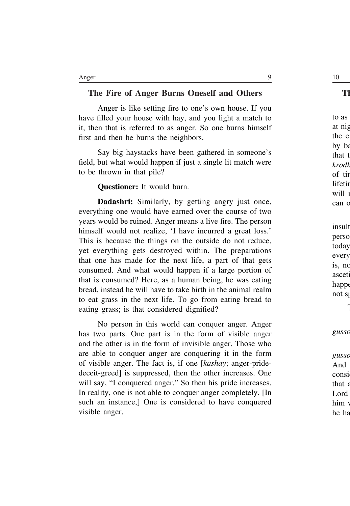#### **The Fire of Anger Burns Oneself and Others**

Anger is like setting fire to one's own house. If you have filled your house with hay, and you light a match to it, then that is referred to as anger. So one burns himself first and then he burns the neighbors.

Say big haystacks have been gathered in someone's field, but what would happen if just a single lit match were to be thrown in that pile?

**Questioner:** It would burn.

**Dadashri:** Similarly, by getting angry just once, everything one would have earned over the course of two years would be ruined. Anger means a live fire. The person himself would not realize, 'I have incurred a great loss.' This is because the things on the outside do not reduce, yet everything gets destroyed within. The preparations that one has made for the next life, a part of that gets consumed. And what would happen if a large portion of that is consumed? Here, as a human being, he was eating bread, instead he will have to take birth in the animal realm to eat grass in the next life. To go from eating bread to eating grass; is that considered dignified?

No person in this world can conquer anger. Anger has two parts. One part is in the form of visible anger and the other is in the form of invisible anger. Those who are able to conquer anger are conquering it in the form of visible anger. The fact is, if one [*kashay*; anger-pridedeceit-greed] is suppressed, then the other increases. One will say, "I conquered anger." So then his pride increases. In reality, one is not able to conquer anger completely. [In such an instance,] One is considered to have conquered visible anger.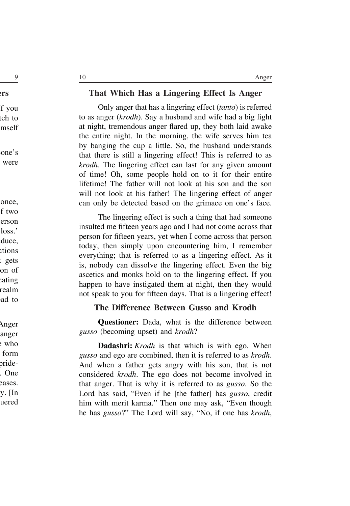#### **That Which Has a Lingering Effect Is Anger**

Only anger that has a lingering effect (*tanto*) is referred to as anger (*krodh*). Say a husband and wife had a big fight at night, tremendous anger flared up, they both laid awake the entire night. In the morning, the wife serves him tea by banging the cup a little. So, the husband understands that there is still a lingering effect! This is referred to as *krodh*. The lingering effect can last for any given amount of time! Oh, some people hold on to it for their entire lifetime! The father will not look at his son and the son will not look at his father! The lingering effect of anger can only be detected based on the grimace on one's face.

The lingering effect is such a thing that had someone insulted me fifteen years ago and I had not come across that person for fifteen years, yet when I come across that person today, then simply upon encountering him, I remember everything; that is referred to as a lingering effect. As it is, nobody can dissolve the lingering effect. Even the big ascetics and monks hold on to the lingering effect. If you happen to have instigated them at night, then they would not speak to you for fifteen days. That is a lingering effect!

#### **The Difference Between Gusso and Krodh**

**Questioner:** Dada, what is the difference between *gusso* (becoming upset) and *krodh*?

**Dadashri:** *Krodh* is that which is with ego. When *gusso* and ego are combined, then it is referred to as *krodh*. And when a father gets angry with his son, that is not considered *krodh*. The ego does not become involved in that anger. That is why it is referred to as *gusso*. So the Lord has said, "Even if he [the father] has *gusso*, credit him with merit karma." Then one may ask, "Even though he has *gusso*?" The Lord will say, "No, if one has *krodh*,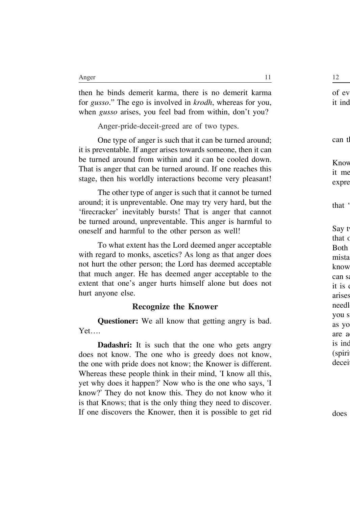then he binds demerit karma, there is no demerit karma for *gusso*." The ego is involved in *krodh*, whereas for you, when *gusso* arises, you feel bad from within, don't you?

Anger-pride-deceit-greed are of two types.

One type of anger is such that it can be turned around; it is preventable. If anger arises towards someone, then it can be turned around from within and it can be cooled down. That is anger that can be turned around. If one reaches this stage, then his worldly interactions become very pleasant!

The other type of anger is such that it cannot be turned around; it is unpreventable. One may try very hard, but the 'firecracker' inevitably bursts! That is anger that cannot be turned around, unpreventable. This anger is harmful to oneself and harmful to the other person as well!

To what extent has the Lord deemed anger acceptable with regard to monks, ascetics? As long as that anger does not hurt the other person; the Lord has deemed acceptable that much anger. He has deemed anger acceptable to the extent that one's anger hurts himself alone but does not hurt anyone else.

#### **Recognize the Knower**

**Questioner:** We all know that getting angry is bad. Yet….

**Dadashri:** It is such that the one who gets angry does not know. The one who is greedy does not know, the one with pride does not know; the Knower is different. Whereas these people think in their mind, 'I know all this, yet why does it happen?' Now who is the one who says, 'I know?' They do not know this. They do not know who it is that Knows; that is the only thing they need to discover. If one discovers the Knower, then it is possible to get rid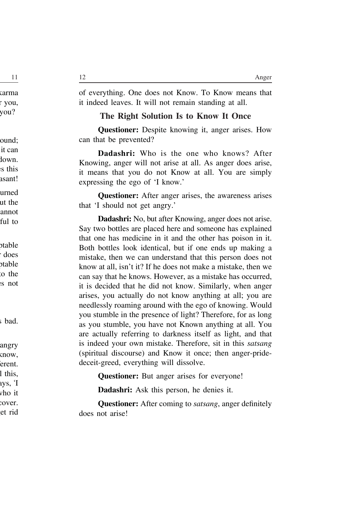of everything. One does not Know. To Know means that it indeed leaves. It will not remain standing at all.

#### **The Right Solution Is to Know It Once**

**Questioner:** Despite knowing it, anger arises. How can that be prevented?

**Dadashri:** Who is the one who knows? After Knowing, anger will not arise at all. As anger does arise, it means that you do not Know at all. You are simply expressing the ego of 'I know.'

**Questioner:** After anger arises, the awareness arises that 'I should not get angry.'

**Dadashri:** No, but after Knowing, anger does not arise. Say two bottles are placed here and someone has explained that one has medicine in it and the other has poison in it. Both bottles look identical, but if one ends up making a mistake, then we can understand that this person does not know at all, isn't it? If he does not make a mistake, then we can say that he knows. However, as a mistake has occurred, it is decided that he did not know. Similarly, when anger arises, you actually do not know anything at all; you are needlessly roaming around with the ego of knowing. Would you stumble in the presence of light? Therefore, for as long as you stumble, you have not Known anything at all. You are actually referring to darkness itself as light, and that is indeed your own mistake. Therefore, sit in this *satsang* (spiritual discourse) and Know it once; then anger-pridedeceit-greed, everything will dissolve.

**Questioner:** But anger arises for everyone!

**Dadashri:** Ask this person, he denies it.

**Questioner:** After coming to *satsang*, anger definitely does not arise!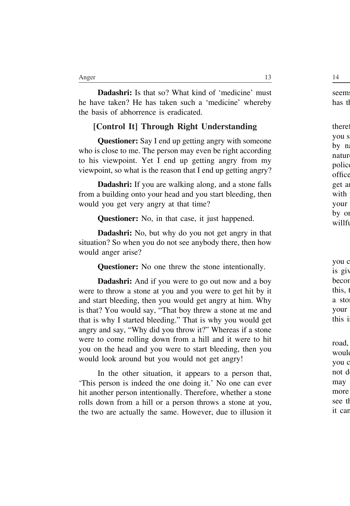**Dadashri:** Is that so? What kind of 'medicine' must he have taken? He has taken such a 'medicine' whereby the basis of abhorrence is eradicated.

#### **[Control It] Through Right Understanding**

**Questioner:** Say I end up getting angry with someone who is close to me. The person may even be right according to his viewpoint. Yet I end up getting angry from my viewpoint, so what is the reason that I end up getting angry?

**Dadashri:** If you are walking along, and a stone falls from a building onto your head and you start bleeding, then would you get very angry at that time?

**Questioner:** No, in that case, it just happened.

**Dadashri:** No, but why do you not get angry in that situation? So when you do not see anybody there, then how would anger arise?

**Questioner:** No one threw the stone intentionally.

**Dadashri:** And if you were to go out now and a boy were to throw a stone at you and you were to get hit by it and start bleeding, then you would get angry at him. Why is that? You would say, "That boy threw a stone at me and that is why I started bleeding." That is why you would get angry and say, "Why did you throw it?" Whereas if a stone were to come rolling down from a hill and it were to hit you on the head and you were to start bleeding, then you would look around but you would not get angry!

In the other situation, it appears to a person that, 'This person is indeed the one doing it.' No one can ever hit another person intentionally. Therefore, whether a stone rolls down from a hill or a person throws a stone at you, the two are actually the same. However, due to illusion it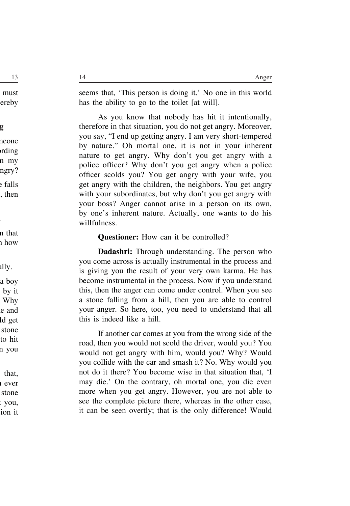seems that, 'This person is doing it.' No one in this world has the ability to go to the toilet [at will].

As you know that nobody has hit it intentionally, therefore in that situation, you do not get angry. Moreover, you say, "I end up getting angry. I am very short-tempered by nature." Oh mortal one, it is not in your inherent nature to get angry. Why don't you get angry with a police officer? Why don't you get angry when a police officer scolds you? You get angry with your wife, you get angry with the children, the neighbors. You get angry with your subordinates, but why don't you get angry with your boss? Anger cannot arise in a person on its own, by one's inherent nature. Actually, one wants to do his willfulness.

#### **Questioner:** How can it be controlled?

**Dadashri:** Through understanding. The person who you come across is actually instrumental in the process and is giving you the result of your very own karma. He has become instrumental in the process. Now if you understand this, then the anger can come under control. When you see a stone falling from a hill, then you are able to control your anger. So here, too, you need to understand that all this is indeed like a hill.

If another car comes at you from the wrong side of the road, then you would not scold the driver, would you? You would not get angry with him, would you? Why? Would you collide with the car and smash it? No. Why would you not do it there? You become wise in that situation that, 'I may die.' On the contrary, oh mortal one, you die even more when you get angry. However, you are not able to see the complete picture there, whereas in the other case, it can be seen overtly; that is the only difference! Would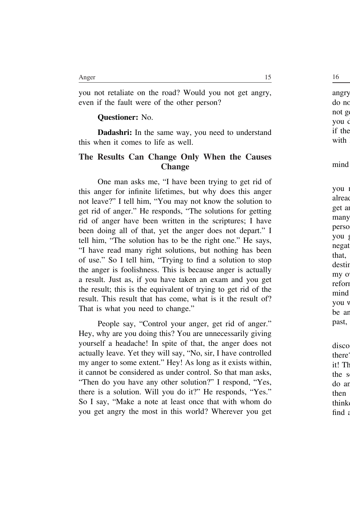you not retaliate on the road? Would you not get angry, even if the fault were of the other person?

#### **Questioner:** No.

**Dadashri:** In the same way, you need to understand this when it comes to life as well.

#### **The Results Can Change Only When the Causes Change**

One man asks me, "I have been trying to get rid of this anger for infinite lifetimes, but why does this anger not leave?" I tell him, "You may not know the solution to get rid of anger." He responds, "The solutions for getting rid of anger have been written in the scriptures; I have been doing all of that, yet the anger does not depart." I tell him, "The solution has to be the right one." He says, "I have read many right solutions, but nothing has been of use." So I tell him, "Trying to find a solution to stop the anger is foolishness. This is because anger is actually a result. Just as, if you have taken an exam and you get the result; this is the equivalent of trying to get rid of the result. This result that has come, what is it the result of? That is what you need to change."

People say, "Control your anger, get rid of anger." Hey, why are you doing this? You are unnecessarily giving yourself a headache! In spite of that, the anger does not actually leave. Yet they will say, "No, sir, I have controlled my anger to some extent." Hey! As long as it exists within, it cannot be considered as under control. So that man asks, "Then do you have any other solution?" I respond, "Yes, there is a solution. Will you do it?" He responds, "Yes." So I say, "Make a note at least once that with whom do you get angry the most in this world? Wherever you get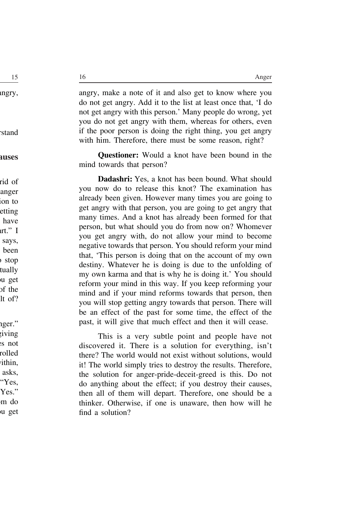angry, make a note of it and also get to know where you do not get angry. Add it to the list at least once that, 'I do not get angry with this person.' Many people do wrong, yet you do not get angry with them, whereas for others, even if the poor person is doing the right thing, you get angry with him. Therefore, there must be some reason, right?

**Questioner:** Would a knot have been bound in the mind towards that person?

**Dadashri:** Yes, a knot has been bound. What should you now do to release this knot? The examination has already been given. However many times you are going to get angry with that person, you are going to get angry that many times. And a knot has already been formed for that person, but what should you do from now on? Whomever you get angry with, do not allow your mind to become negative towards that person. You should reform your mind that, 'This person is doing that on the account of my own destiny. Whatever he is doing is due to the unfolding of my own karma and that is why he is doing it.' You should reform your mind in this way. If you keep reforming your mind and if your mind reforms towards that person, then you will stop getting angry towards that person. There will be an effect of the past for some time, the effect of the past, it will give that much effect and then it will cease.

This is a very subtle point and people have not discovered it. There is a solution for everything, isn't there? The world would not exist without solutions, would it! The world simply tries to destroy the results. Therefore, the solution for anger-pride-deceit-greed is this. Do not do anything about the effect; if you destroy their causes, then all of them will depart. Therefore, one should be a thinker. Otherwise, if one is unaware, then how will he find a solution?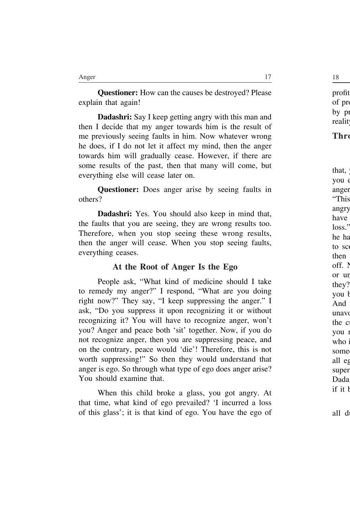**Questioner:** How can the causes be destroyed? Please explain that again!

**Dadashri:** Say I keep getting angry with this man and then I decide that my anger towards him is the result of me previously seeing faults in him. Now whatever wrong he does, if I do not let it affect my mind, then the anger towards him will gradually cease. However, if there are some results of the past, then that many will come, but everything else will cease later on.

**Questioner:** Does anger arise by seeing faults in others?

**Dadashri:** Yes. You should also keep in mind that, the faults that you are seeing, they are wrong results too. Therefore, when you stop seeing these wrong results, then the anger will cease. When you stop seeing faults, everything ceases.

#### **At the Root of Anger Is the Ego**

People ask, "What kind of medicine should I take to remedy my anger?" I respond, "What are you doing right now?" They say, "I keep suppressing the anger." I ask, "Do you suppress it upon recognizing it or without recognizing it? You will have to recognize anger, won't you? Anger and peace both 'sit' together. Now, if you do not recognize anger, then you are suppressing peace, and on the contrary, peace would 'die'! Therefore, this is not worth suppressing!" So then they would understand that anger is ego. So through what type of ego does anger arise? You should examine that.

When this child broke a glass, you got angry. At that time, what kind of ego prevailed? 'I incurred a loss of this glass'; it is that kind of ego. You have the ego of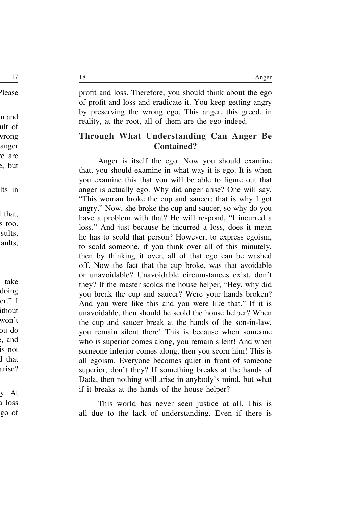profit and loss. Therefore, you should think about the ego of profit and loss and eradicate it. You keep getting angry by preserving the wrong ego. This anger, this greed, in reality, at the root, all of them are the ego indeed.

### **Through What Understanding Can Anger Be Contained?**

Anger is itself the ego. Now you should examine that, you should examine in what way it is ego. It is when you examine this that you will be able to figure out that anger is actually ego. Why did anger arise? One will say, "This woman broke the cup and saucer; that is why I got angry." Now, she broke the cup and saucer, so why do you have a problem with that? He will respond, "I incurred a loss." And just because he incurred a loss, does it mean he has to scold that person? However, to express egoism, to scold someone, if you think over all of this minutely, then by thinking it over, all of that ego can be washed off. Now the fact that the cup broke, was that avoidable or unavoidable? Unavoidable circumstances exist, don't they? If the master scolds the house helper, "Hey, why did you break the cup and saucer? Were your hands broken? And you were like this and you were like that." If it is unavoidable, then should he scold the house helper? When the cup and saucer break at the hands of the son-in-law, you remain silent there! This is because when someone who is superior comes along, you remain silent! And when someone inferior comes along, then you scorn him! This is all egoism. Everyone becomes quiet in front of someone superior, don't they? If something breaks at the hands of Dada, then nothing will arise in anybody's mind, but what if it breaks at the hands of the house helper?

This world has never seen justice at all. This is all due to the lack of understanding. Even if there is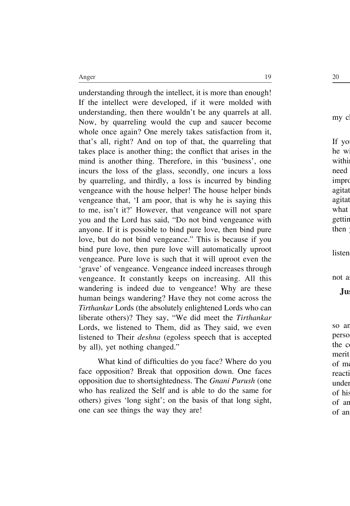understanding through the intellect, it is more than enough! If the intellect were developed, if it were molded with understanding, then there wouldn't be any quarrels at all. Now, by quarreling would the cup and saucer become whole once again? One merely takes satisfaction from it, that's all, right? And on top of that, the quarreling that takes place is another thing; the conflict that arises in the mind is another thing. Therefore, in this 'business', one incurs the loss of the glass, secondly, one incurs a loss by quarreling, and thirdly, a loss is incurred by binding vengeance with the house helper! The house helper binds vengeance that, 'I am poor, that is why he is saying this to me, isn't it?' However, that vengeance will not spare you and the Lord has said, "Do not bind vengeance with anyone. If it is possible to bind pure love, then bind pure love, but do not bind vengeance." This is because if you bind pure love, then pure love will automatically uproot vengeance. Pure love is such that it will uproot even the 'grave' of vengeance. Vengeance indeed increases through vengeance. It constantly keeps on increasing. All this wandering is indeed due to vengeance! Why are these human beings wandering? Have they not come across the *Tirthankar* Lords (the absolutely enlightened Lords who can liberate others)? They say, "We did meet the *Tirthankar* Lords, we listened to Them, did as They said, we even listened to Their *deshna* (egoless speech that is accepted by all), yet nothing changed."

What kind of difficulties do you face? Where do you face opposition? Break that opposition down. One faces opposition due to shortsightedness. The *Gnani Purush* (one who has realized the Self and is able to do the same for others) gives 'long sight'; on the basis of that long sight, one can see things the way they are!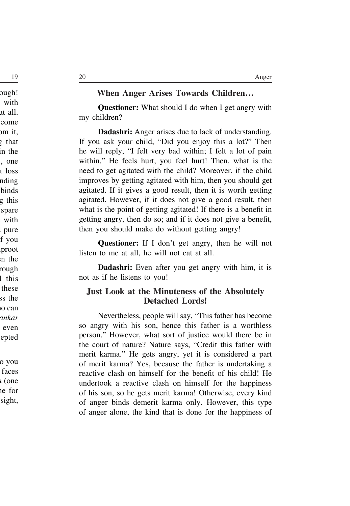#### **When Anger Arises Towards Children…**

**Questioner:** What should I do when I get angry with my children?

**Dadashri:** Anger arises due to lack of understanding. If you ask your child, "Did you enjoy this a lot?" Then he will reply, "I felt very bad within; I felt a lot of pain within." He feels hurt, you feel hurt! Then, what is the need to get agitated with the child? Moreover, if the child improves by getting agitated with him, then you should get agitated. If it gives a good result, then it is worth getting agitated. However, if it does not give a good result, then what is the point of getting agitated! If there is a benefit in getting angry, then do so; and if it does not give a benefit, then you should make do without getting angry!

**Questioner:** If I don't get angry, then he will not listen to me at all, he will not eat at all.

**Dadashri:** Even after you get angry with him, it is not as if he listens to you!

#### **Just Look at the Minuteness of the Absolutely Detached Lords!**

Nevertheless, people will say, "This father has become so angry with his son, hence this father is a worthless person." However, what sort of justice would there be in the court of nature? Nature says, "Credit this father with merit karma." He gets angry, yet it is considered a part of merit karma? Yes, because the father is undertaking a reactive clash on himself for the benefit of his child! He undertook a reactive clash on himself for the happiness of his son, so he gets merit karma! Otherwise, every kind of anger binds demerit karma only. However, this type of anger alone, the kind that is done for the happiness of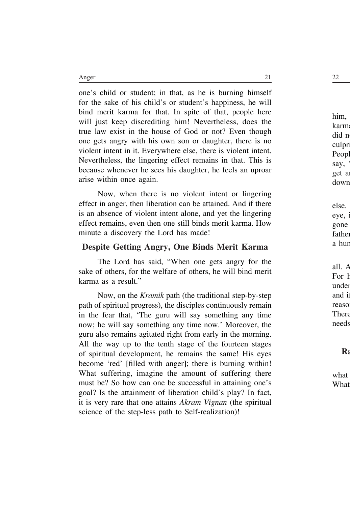one's child or student; in that, as he is burning himself for the sake of his child's or student's happiness, he will bind merit karma for that. In spite of that, people here will just keep discrediting him! Nevertheless, does the true law exist in the house of God or not? Even though one gets angry with his own son or daughter, there is no violent intent in it. Everywhere else, there is violent intent. Nevertheless, the lingering effect remains in that. This is because whenever he sees his daughter, he feels an uproar arise within once again.

Now, when there is no violent intent or lingering effect in anger, then liberation can be attained. And if there is an absence of violent intent alone, and yet the lingering effect remains, even then one still binds merit karma. How minute a discovery the Lord has made!

#### **Despite Getting Angry, One Binds Merit Karma**

The Lord has said, "When one gets angry for the sake of others, for the welfare of others, he will bind merit karma as a result."

Now, on the *Kramik* path (the traditional step-by-step path of spiritual progress), the disciples continuously remain in the fear that, 'The guru will say something any time now; he will say something any time now.' Moreover, the guru also remains agitated right from early in the morning. All the way up to the tenth stage of the fourteen stages of spiritual development, he remains the same! His eyes become 'red' [filled with anger]; there is burning within! What suffering, imagine the amount of suffering there must be? So how can one be successful in attaining one's goal? Is the attainment of liberation child's play? In fact, it is very rare that one attains *Akram Vignan* (the spiritual science of the step-less path to Self-realization)!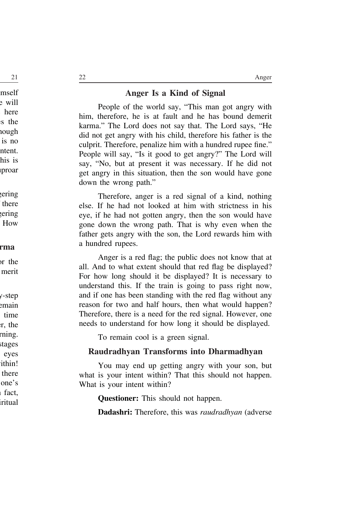#### **Anger Is a Kind of Signal**

People of the world say, "This man got angry with him, therefore, he is at fault and he has bound demerit karma." The Lord does not say that. The Lord says, "He did not get angry with his child, therefore his father is the culprit. Therefore, penalize him with a hundred rupee fine." People will say, "Is it good to get angry?" The Lord will say, "No, but at present it was necessary. If he did not get angry in this situation, then the son would have gone down the wrong path."

Therefore, anger is a red signal of a kind, nothing else. If he had not looked at him with strictness in his eye, if he had not gotten angry, then the son would have gone down the wrong path. That is why even when the father gets angry with the son, the Lord rewards him with a hundred rupees.

Anger is a red flag; the public does not know that at all. And to what extent should that red flag be displayed? For how long should it be displayed? It is necessary to understand this. If the train is going to pass right now, and if one has been standing with the red flag without any reason for two and half hours, then what would happen? Therefore, there is a need for the red signal. However, one needs to understand for how long it should be displayed.

To remain cool is a green signal.

#### **Raudradhyan Transforms into Dharmadhyan**

You may end up getting angry with your son, but what is your intent within? That this should not happen. What is your intent within?

**Questioner:** This should not happen.

**Dadashri:** Therefore, this was *raudradhyan* (adverse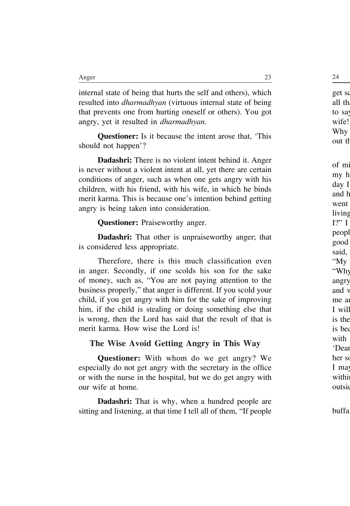internal state of being that hurts the self and others), which resulted into *dharmadhyan* (virtuous internal state of being that prevents one from hurting oneself or others). You got angry, yet it resulted in *dharmadhyan*.

**Questioner:** Is it because the intent arose that, 'This should not happen'?

**Dadashri:** There is no violent intent behind it. Anger is never without a violent intent at all, yet there are certain conditions of anger, such as when one gets angry with his children, with his friend, with his wife, in which he binds merit karma. This is because one's intention behind getting angry is being taken into consideration.

**Questioner:** Praiseworthy anger.

**Dadashri:** That other is unpraiseworthy anger; that is considered less appropriate.

Therefore, there is this much classification even in anger. Secondly, if one scolds his son for the sake of money, such as, "You are not paying attention to the business properly," that anger is different. If you scold your child, if you get angry with him for the sake of improving him, if the child is stealing or doing something else that is wrong, then the Lord has said that the result of that is merit karma. How wise the Lord is!

#### **The Wise Avoid Getting Angry in This Way**

**Questioner:** With whom do we get angry? We especially do not get angry with the secretary in the office or with the nurse in the hospital, but we do get angry with our wife at home.

**Dadashri:** That is why, when a hundred people are sitting and listening, at that time I tell all of them, "If people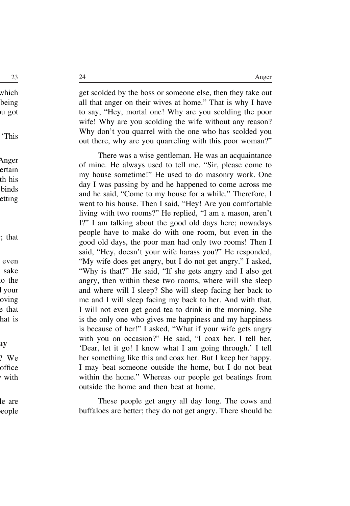get scolded by the boss or someone else, then they take out all that anger on their wives at home." That is why I have to say, "Hey, mortal one! Why are you scolding the poor wife! Why are you scolding the wife without any reason? Why don't you quarrel with the one who has scolded you out there, why are you quarreling with this poor woman?"

There was a wise gentleman. He was an acquaintance of mine. He always used to tell me, "Sir, please come to my house sometime!" He used to do masonry work. One day I was passing by and he happened to come across me and he said, "Come to my house for a while." Therefore, I went to his house. Then I said, "Hey! Are you comfortable living with two rooms?" He replied, "I am a mason, aren't I?" I am talking about the good old days here; nowadays people have to make do with one room, but even in the good old days, the poor man had only two rooms! Then I said, "Hey, doesn't your wife harass you?" He responded, "My wife does get angry, but I do not get angry." I asked, "Why is that?" He said, "If she gets angry and I also get angry, then within these two rooms, where will she sleep and where will I sleep? She will sleep facing her back to me and I will sleep facing my back to her. And with that, I will not even get good tea to drink in the morning. She is the only one who gives me happiness and my happiness is because of her!" I asked, "What if your wife gets angry with you on occasion?" He said, "I coax her. I tell her, 'Dear, let it go! I know what I am going through.' I tell her something like this and coax her. But I keep her happy. I may beat someone outside the home, but I do not beat within the home." Whereas our people get beatings from outside the home and then beat at home.

These people get angry all day long. The cows and buffaloes are better; they do not get angry. There should be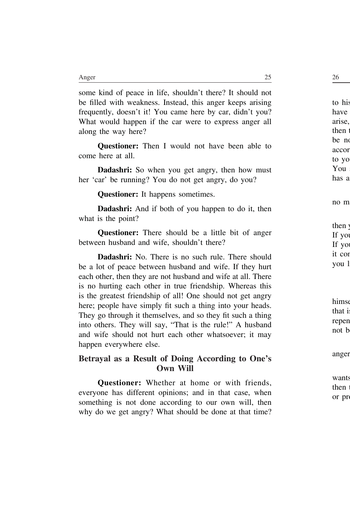some kind of peace in life, shouldn't there? It should not be filled with weakness. Instead, this anger keeps arising frequently, doesn't it! You came here by car, didn't you? What would happen if the car were to express anger all along the way here?

**Questioner:** Then I would not have been able to come here at all.

**Dadashri:** So when you get angry, then how must her 'car' be running? You do not get angry, do you?

**Questioner:** It happens sometimes.

**Dadashri:** And if both of you happen to do it, then what is the point?

**Questioner:** There should be a little bit of anger between husband and wife, shouldn't there?

**Dadashri:** No. There is no such rule. There should be a lot of peace between husband and wife. If they hurt each other, then they are not husband and wife at all. There is no hurting each other in true friendship. Whereas this is the greatest friendship of all! One should not get angry here; people have simply fit such a thing into your heads. They go through it themselves, and so they fit such a thing into others. They will say, "That is the rule!" A husband and wife should not hurt each other whatsoever; it may happen everywhere else.

#### **Betrayal as a Result of Doing According to One's Own Will**

**Questioner:** Whether at home or with friends, everyone has different opinions; and in that case, when something is not done according to our own will, then why do we get angry? What should be done at that time?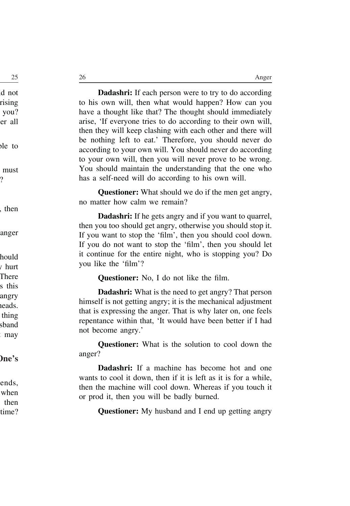**Dadashri:** If each person were to try to do according to his own will, then what would happen? How can you have a thought like that? The thought should immediately arise, 'If everyone tries to do according to their own will, then they will keep clashing with each other and there will be nothing left to eat.' Therefore, you should never do according to your own will. You should never do according to your own will, then you will never prove to be wrong. You should maintain the understanding that the one who has a self-need will do according to his own will.

**Questioner:** What should we do if the men get angry, no matter how calm we remain?

**Dadashri:** If he gets angry and if you want to quarrel, then you too should get angry, otherwise you should stop it. If you want to stop the 'film', then you should cool down. If you do not want to stop the 'film', then you should let it continue for the entire night, who is stopping you? Do you like the 'film'?

**Questioner:** No, I do not like the film.

**Dadashri:** What is the need to get angry? That person himself is not getting angry; it is the mechanical adjustment that is expressing the anger. That is why later on, one feels repentance within that, 'It would have been better if I had not become angry.'

**Questioner:** What is the solution to cool down the anger?

**Dadashri:** If a machine has become hot and one wants to cool it down, then if it is left as it is for a while, then the machine will cool down. Whereas if you touch it or prod it, then you will be badly burned.

**Questioner:** My husband and I end up getting angry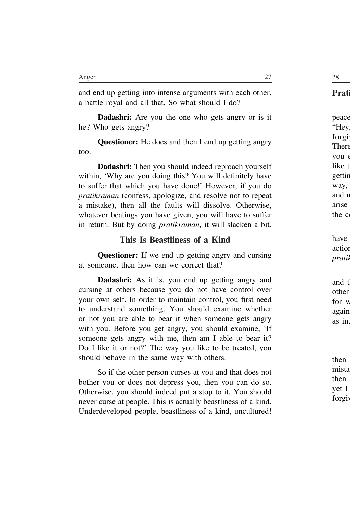and end up getting into intense arguments with each other, a battle royal and all that. So what should I do?

**Dadashri:** Are you the one who gets angry or is it he? Who gets angry?

**Questioner:** He does and then I end up getting angry too.

**Dadashri:** Then you should indeed reproach yourself within, 'Why are you doing this? You will definitely have to suffer that which you have done!' However, if you do *pratikraman* (confess, apologize, and resolve not to repeat a mistake), then all the faults will dissolve. Otherwise, whatever beatings you have given, you will have to suffer in return. But by doing *pratikraman*, it will slacken a bit.

#### **This Is Beastliness of a Kind**

**Questioner:** If we end up getting angry and cursing at someone, then how can we correct that?

**Dadashri:** As it is, you end up getting angry and cursing at others because you do not have control over your own self. In order to maintain control, you first need to understand something. You should examine whether or not you are able to bear it when someone gets angry with you. Before you get angry, you should examine, 'If someone gets angry with me, then am I able to bear it? Do I like it or not?' The way you like to be treated, you should behave in the same way with others.

So if the other person curses at you and that does not bother you or does not depress you, then you can do so. Otherwise, you should indeed put a stop to it. You should never curse at people. This is actually beastliness of a kind. Underdeveloped people, beastliness of a kind, uncultured!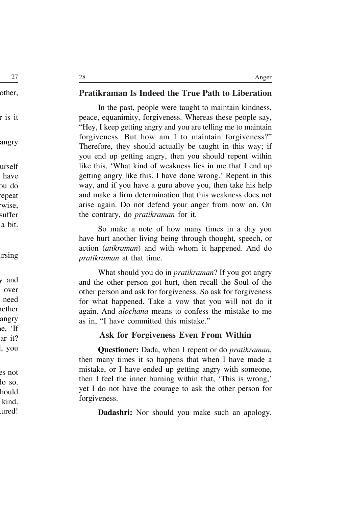#### **Pratikraman Is Indeed the True Path to Liberation**

In the past, people were taught to maintain kindness, peace, equanimity, forgiveness. Whereas these people say, "Hey, I keep getting angry and you are telling me to maintain forgiveness. But how am I to maintain forgiveness?" Therefore, they should actually be taught in this way; if you end up getting angry, then you should repent within like this, 'What kind of weakness lies in me that I end up getting angry like this. I have done wrong.' Repent in this way, and if you have a guru above you, then take his help and make a firm determination that this weakness does not arise again. Do not defend your anger from now on. On the contrary, do *pratikraman* for it.

So make a note of how many times in a day you have hurt another living being through thought, speech, or action (*atikraman*) and with whom it happened. And do *pratikraman* at that time.

What should you do in *pratikraman*? If you got angry and the other person got hurt, then recall the Soul of the other person and ask for forgiveness. So ask for forgiveness for what happened. Take a vow that you will not do it again. And *alochana* means to confess the mistake to me as in, "I have committed this mistake."

#### **Ask for Forgiveness Even From Within**

**Questioner:** Dada, when I repent or do *pratikraman*, then many times it so happens that when I have made a mistake, or I have ended up getting angry with someone, then I feel the inner burning within that, 'This is wrong,' yet I do not have the courage to ask the other person for forgiveness.

**Dadashri:** Nor should you make such an apology.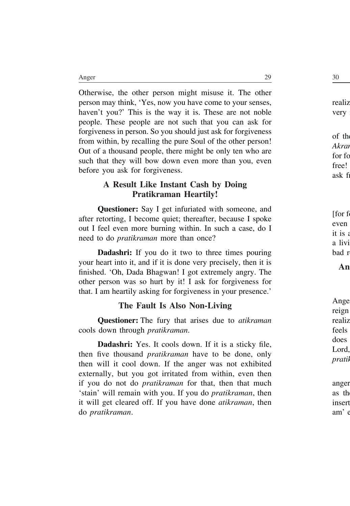Otherwise, the other person might misuse it. The other person may think, 'Yes, now you have come to your senses, haven't you?' This is the way it is. These are not noble people. These people are not such that you can ask for forgiveness in person. So you should just ask for forgiveness from within, by recalling the pure Soul of the other person! Out of a thousand people, there might be only ten who are such that they will bow down even more than you, even before you ask for forgiveness.

## **A Result Like Instant Cash by Doing Pratikraman Heartily!**

**Questioner:** Say I get infuriated with someone, and after retorting, I become quiet; thereafter, because I spoke out I feel even more burning within. In such a case, do I need to do *pratikraman* more than once?

**Dadashri:** If you do it two to three times pouring your heart into it, and if it is done very precisely, then it is finished. 'Oh, Dada Bhagwan! I got extremely angry. The other person was so hurt by it! I ask for forgiveness for that. I am heartily asking for forgiveness in your presence.'

## **The Fault Is Also Non-Living**

**Questioner:** The fury that arises due to *atikraman*  cools down through *pratikraman*.

**Dadashri:** Yes. It cools down. If it is a sticky file, then five thousand *pratikraman* have to be done, only then will it cool down. If the anger was not exhibited externally, but you got irritated from within, even then if you do not do *pratikraman* for that, then that much 'stain' will remain with you. If you do *pratikraman*, then it will get cleared off. If you have done *atikraman*, then do *pratikraman*.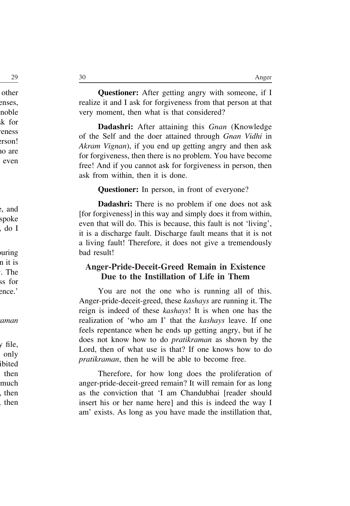**Questioner:** After getting angry with someone, if I realize it and I ask for forgiveness from that person at that very moment, then what is that considered?

**Dadashri:** After attaining this *Gnan* (Knowledge of the Self and the doer attained through *Gnan Vidhi* in *Akram Vignan*), if you end up getting angry and then ask for forgiveness, then there is no problem. You have become free! And if you cannot ask for forgiveness in person, then ask from within, then it is done.

**Questioner:** In person, in front of everyone?

**Dadashri:** There is no problem if one does not ask [for forgiveness] in this way and simply does it from within, even that will do. This is because, this fault is not 'living', it is a discharge fault. Discharge fault means that it is not a living fault! Therefore, it does not give a tremendously bad result!

#### **Anger-Pride-Deceit-Greed Remain in Existence Due to the Instillation of Life in Them**

You are not the one who is running all of this. Anger-pride-deceit-greed, these *kashays* are running it. The reign is indeed of these *kashays*! It is when one has the realization of 'who am I' that the *kashays* leave. If one feels repentance when he ends up getting angry, but if he does not know how to do *pratikraman* as shown by the Lord, then of what use is that? If one knows how to do *pratikraman*, then he will be able to become free.

Therefore, for how long does the proliferation of anger-pride-deceit-greed remain? It will remain for as long as the conviction that 'I am Chandubhai [reader should insert his or her name here] and this is indeed the way I am' exists. As long as you have made the instillation that,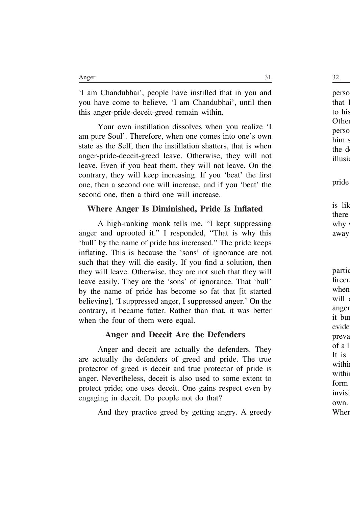'I am Chandubhai', people have instilled that in you and you have come to believe, 'I am Chandubhai', until then this anger-pride-deceit-greed remain within.

Your own instillation dissolves when you realize 'I am pure Soul'. Therefore, when one comes into one's own state as the Self, then the instillation shatters, that is when anger-pride-deceit-greed leave. Otherwise, they will not leave. Even if you beat them, they will not leave. On the contrary, they will keep increasing. If you 'beat' the first one, then a second one will increase, and if you 'beat' the second one, then a third one will increase.

## **Where Anger Is Diminished, Pride Is Inflated**

A high-ranking monk tells me, "I kept suppressing anger and uprooted it." I responded, "That is why this 'bull' by the name of pride has increased." The pride keeps inflating. This is because the 'sons' of ignorance are not such that they will die easily. If you find a solution, then they will leave. Otherwise, they are not such that they will leave easily. They are the 'sons' of ignorance. That 'bull' by the name of pride has become so fat that [it started believing], 'I suppressed anger, I suppressed anger.' On the contrary, it became fatter. Rather than that, it was better when the four of them were equal.

## **Anger and Deceit Are the Defenders**

Anger and deceit are actually the defenders. They are actually the defenders of greed and pride. The true protector of greed is deceit and true protector of pride is anger. Nevertheless, deceit is also used to some extent to protect pride; one uses deceit. One gains respect even by engaging in deceit. Do people not do that?

And they practice greed by getting angry. A greedy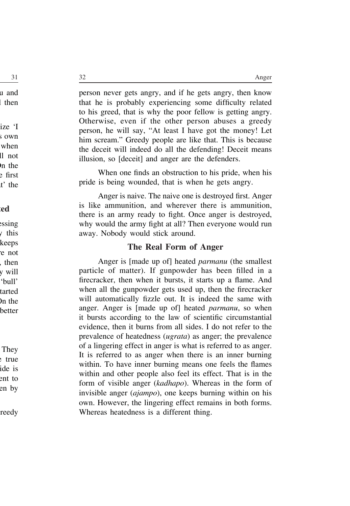person never gets angry, and if he gets angry, then know that he is probably experiencing some difficulty related to his greed, that is why the poor fellow is getting angry. Otherwise, even if the other person abuses a greedy person, he will say, "At least I have got the money! Let him scream." Greedy people are like that. This is because the deceit will indeed do all the defending! Deceit means illusion, so [deceit] and anger are the defenders.

When one finds an obstruction to his pride, when his pride is being wounded, that is when he gets angry.

Anger is naive. The naive one is destroyed first. Anger is like ammunition, and wherever there is ammunition, there is an army ready to fight. Once anger is destroyed, why would the army fight at all? Then everyone would run away. Nobody would stick around.

#### **The Real Form of Anger**

Anger is [made up of] heated *parmanu* (the smallest particle of matter). If gunpowder has been filled in a firecracker, then when it bursts, it starts up a flame. And when all the gunpowder gets used up, then the firecracker will automatically fizzle out. It is indeed the same with anger. Anger is [made up of] heated *parmanu*, so when it bursts according to the law of scientific circumstantial evidence, then it burns from all sides. I do not refer to the prevalence of heatedness (*ugrata*) as anger; the prevalence of a lingering effect in anger is what is referred to as anger. It is referred to as anger when there is an inner burning within. To have inner burning means one feels the flames within and other people also feel its effect. That is in the form of visible anger (*kadhapo*). Whereas in the form of invisible anger (*ajampo*), one keeps burning within on his own. However, the lingering effect remains in both forms. Whereas heatedness is a different thing.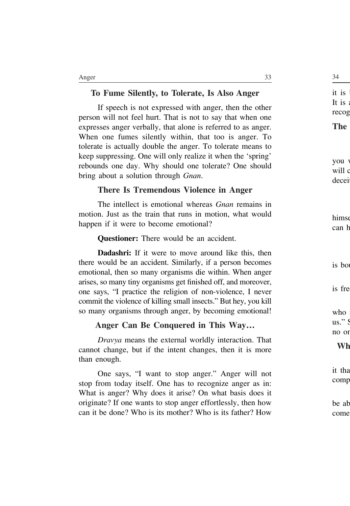#### **To Fume Silently, to Tolerate, Is Also Anger**

If speech is not expressed with anger, then the other person will not feel hurt. That is not to say that when one expresses anger verbally, that alone is referred to as anger. When one fumes silently within, that too is anger. To tolerate is actually double the anger. To tolerate means to keep suppressing. One will only realize it when the 'spring' rebounds one day. Why should one tolerate? One should bring about a solution through *Gnan*.

#### **There Is Tremendous Violence in Anger**

The intellect is emotional whereas *Gnan* remains in motion. Just as the train that runs in motion, what would happen if it were to become emotional?

**Questioner:** There would be an accident.

**Dadashri:** If it were to move around like this, then there would be an accident. Similarly, if a person becomes emotional, then so many organisms die within. When anger arises, so many tiny organisms get finished off, and moreover, one says, "I practice the religion of non-violence, I never commit the violence of killing small insects." But hey, you kill so many organisms through anger, by becoming emotional!

#### **Anger Can Be Conquered in This Way…**

*Dravya* means the external worldly interaction. That cannot change, but if the intent changes, then it is more than enough.

One says, "I want to stop anger." Anger will not stop from today itself. One has to recognize anger as in: What is anger? Why does it arise? On what basis does it originate? If one wants to stop anger effortlessly, then how can it be done? Who is its mother? Who is its father? How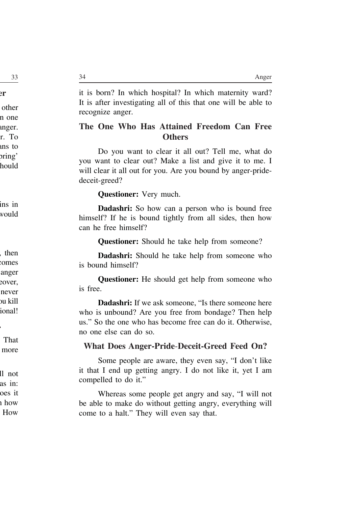it is born? In which hospital? In which maternity ward? It is after investigating all of this that one will be able to recognize anger.

### **The One Who Has Attained Freedom Can Free Others**

Do you want to clear it all out? Tell me, what do you want to clear out? Make a list and give it to me. I will clear it all out for you. Are you bound by anger-pridedeceit-greed?

**Questioner:** Very much.

**Dadashri:** So how can a person who is bound free himself? If he is bound tightly from all sides, then how can he free himself?

**Questioner:** Should he take help from someone?

**Dadashri:** Should he take help from someone who is bound himself?

**Questioner:** He should get help from someone who is free.

**Dadashri:** If we ask someone, "Is there someone here who is unbound? Are you free from bondage? Then help us." So the one who has become free can do it. Otherwise, no one else can do so.

#### **What Does Anger-Pride**-**Deceit-Greed Feed On?**

Some people are aware, they even say, "I don't like it that I end up getting angry. I do not like it, yet I am compelled to do it."

Whereas some people get angry and say, "I will not be able to make do without getting angry, everything will come to a halt." They will even say that.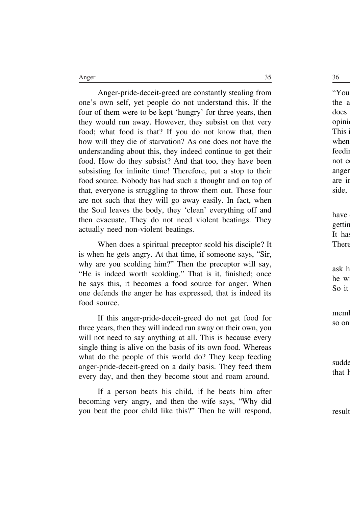Anger-pride-deceit-greed are constantly stealing from one's own self, yet people do not understand this. If the four of them were to be kept 'hungry' for three years, then they would run away. However, they subsist on that very food; what food is that? If you do not know that, then how will they die of starvation? As one does not have the understanding about this, they indeed continue to get their food. How do they subsist? And that too, they have been subsisting for infinite time! Therefore, put a stop to their food source. Nobody has had such a thought and on top of that, everyone is struggling to throw them out. Those four are not such that they will go away easily. In fact, when the Soul leaves the body, they 'clean' everything off and then evacuate. They do not need violent beatings. They actually need non-violent beatings.

When does a spiritual preceptor scold his disciple? It is when he gets angry. At that time, if someone says, "Sir, why are you scolding him?" Then the preceptor will say, "He is indeed worth scolding." That is it, finished; once he says this, it becomes a food source for anger. When one defends the anger he has expressed, that is indeed its food source.

If this anger-pride-deceit-greed do not get food for three years, then they will indeed run away on their own, you will not need to say anything at all. This is because every single thing is alive on the basis of its own food. Whereas what do the people of this world do? They keep feeding anger-pride-deceit-greed on a daily basis. They feed them every day, and then they become stout and roam around.

If a person beats his child, if he beats him after becoming very angry, and then the wife says, "Why did you beat the poor child like this?" Then he will respond,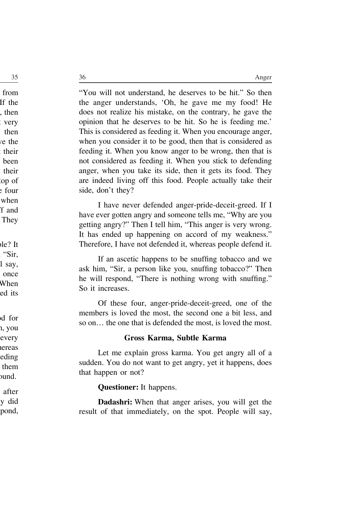"You will not understand, he deserves to be hit." So then the anger understands, 'Oh, he gave me my food! He does not realize his mistake, on the contrary, he gave the opinion that he deserves to be hit. So he is feeding me.' This is considered as feeding it. When you encourage anger, when you consider it to be good, then that is considered as feeding it. When you know anger to be wrong, then that is not considered as feeding it. When you stick to defending anger, when you take its side, then it gets its food. They are indeed living off this food. People actually take their side, don't they?

I have never defended anger-pride-deceit-greed. If I have ever gotten angry and someone tells me, "Why are you getting angry?" Then I tell him, "This anger is very wrong. It has ended up happening on accord of my weakness." Therefore, I have not defended it, whereas people defend it.

If an ascetic happens to be snuffing tobacco and we ask him, "Sir, a person like you, snuffing tobacco?" Then he will respond, "There is nothing wrong with snuffing." So it increases.

Of these four, anger-pride-deceit-greed, one of the members is loved the most, the second one a bit less, and so on… the one that is defended the most, is loved the most.

#### **Gross Karma, Subtle Karma**

Let me explain gross karma. You get angry all of a sudden. You do not want to get angry, yet it happens, does that happen or not?

**Questioner:** It happens.

**Dadashri:** When that anger arises, you will get the result of that immediately, on the spot. People will say,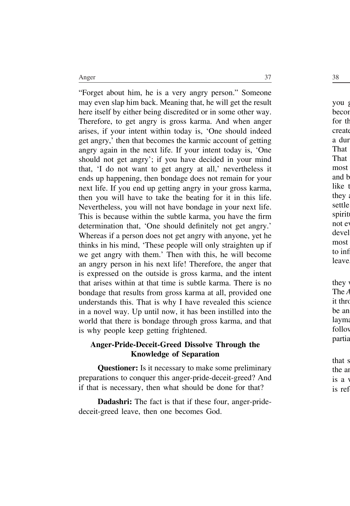"Forget about him, he is a very angry person." Someone may even slap him back. Meaning that, he will get the result here itself by either being discredited or in some other way. Therefore, to get angry is gross karma. And when anger arises, if your intent within today is, 'One should indeed get angry,' then that becomes the karmic account of getting angry again in the next life. If your intent today is, 'One should not get angry'; if you have decided in your mind that, 'I do not want to get angry at all,' nevertheless it ends up happening, then bondage does not remain for your next life. If you end up getting angry in your gross karma, then you will have to take the beating for it in this life. Nevertheless, you will not have bondage in your next life. This is because within the subtle karma, you have the firm determination that, 'One should definitely not get angry.' Whereas if a person does not get angry with anyone, yet he thinks in his mind, 'These people will only straighten up if we get angry with them.' Then with this, he will become an angry person in his next life! Therefore, the anger that is expressed on the outside is gross karma, and the intent that arises within at that time is subtle karma. There is no bondage that results from gross karma at all, provided one understands this. That is why I have revealed this science in a novel way. Up until now, it has been instilled into the world that there is bondage through gross karma, and that is why people keep getting frightened.

#### **Anger-Pride-Deceit-Greed Dissolve Through the Knowledge of Separation**

**Questioner:** Is it necessary to make some preliminary preparations to conquer this anger-pride-deceit-greed? And if that is necessary, then what should be done for that?

**Dadashri:** The fact is that if these four, anger-pridedeceit-greed leave, then one becomes God.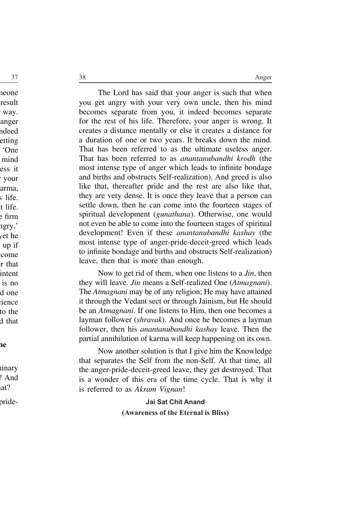The Lord has said that your anger is such that when you get angry with your very own uncle, then his mind becomes separate from you, it indeed becomes separate for the rest of his life. Therefore, your anger is wrong. It creates a distance mentally or else it creates a distance for a duration of one or two years. It breaks down the mind. That has been referred to as the ultimate useless anger. That has been referred to as *anantanubandhi krodh* (the most intense type of anger which leads to infinite bondage and births and obstructs Self-realization). And greed is also like that, thereafter pride and the rest are also like that, they are very dense. It is once they leave that a person can settle down, then he can come into the fourteen stages of spiritual development (*gunathana*). Otherwise, one would not even be able to come into the fourteen stages of spiritual development! Even if these *anantanubandhi kashay* (the most intense type of anger-pride-deceit-greed which leads to infinite bondage and births and obstructs Self-realization) leave, then that is more than enough.

Now to get rid of them, when one listens to a *Jin*, then they will leave. *Jin* means a Self-realized One (*Atmagnani*). The *Atmagnani* may be of any religion; He may have attained it through the Vedant sect or through Jainism, but He should be an *Atmagnani*. If one listens to Him, then one becomes a layman follower (*shravak*). And once he becomes a layman follower, then his *anantanubandhi kashay* leave. Then the partial annihilation of karma will keep happening on its own.

Now another solution is that I give him the Knowledge that separates the Self from the non-Self. At that time, all the anger-pride-deceit-greed leave, they get destroyed. That is a wonder of this era of the time cycle. That is why it is referred to as *Akram Vignan*!

> **Jai Sat Chit Anand (Awareness of the Eternal is Bliss)**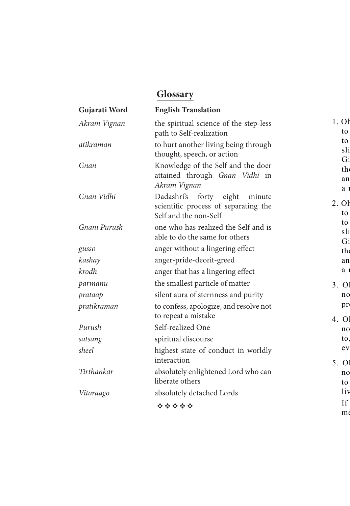# **Glossary**

| Gujarati Word | <b>English Translation</b>                                                                     |
|---------------|------------------------------------------------------------------------------------------------|
| Akram Vignan  | the spiritual science of the step-less<br>path to Self-realization                             |
| atikraman     | to hurt another living being through<br>thought, speech, or action                             |
| Gnan          | Knowledge of the Self and the doer<br>attained through Gnan Vidhi<br>in<br>Akram Vignan        |
| Gnan Vidhi    | Dadashri's forty eight minute<br>scientific process of separating the<br>Self and the non-Self |
| Gnani Purush  | one who has realized the Self and is<br>able to do the same for others                         |
| gusso         | anger without a lingering effect                                                               |
| kashay        | anger-pride-deceit-greed                                                                       |
| krodh         | anger that has a lingering effect                                                              |
| parmanu       | the smallest particle of matter                                                                |
| prataap       | silent aura of sternness and purity                                                            |
| pratikraman   | to confess, apologize, and resolve not<br>to repeat a mistake                                  |
| Purush        | Self-realized One                                                                              |
| satsang       | spiritual discourse                                                                            |
| sheel         | highest state of conduct in worldly<br>interaction                                             |
| Tirthankar    | absolutely enlightened Lord who can<br>liberate others                                         |
| Vitaraago     | absolutely detached Lords<br>*****                                                             |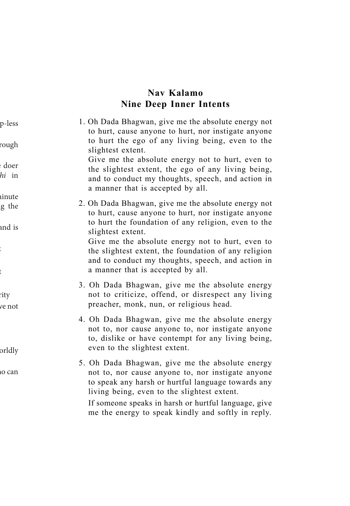# **Nav Kalamo Nine Deep Inner Intents**

1. Oh Dada Bhagwan, give me the absolute energy not to hurt, cause anyone to hurt, nor instigate anyone to hurt the ego of any living being, even to the slightest extent.

 Give me the absolute energy not to hurt, even to the slightest extent, the ego of any living being, and to conduct my thoughts, speech, and action in a manner that is accepted by all.

2. Oh Dada Bhagwan, give me the absolute energy not to hurt, cause anyone to hurt, nor instigate anyone to hurt the foundation of any religion, even to the slightest extent.

 Give me the absolute energy not to hurt, even to the slightest extent, the foundation of any religion and to conduct my thoughts, speech, and action in a manner that is accepted by all.

- 3. Oh Dada Bhagwan, give me the absolute energy not to criticize, offend, or disrespect any living preacher, monk, nun, or religious head.
- 4. Oh Dada Bhagwan, give me the absolute energy not to, nor cause anyone to, nor instigate anyone to, dislike or have contempt for any living being, even to the slightest extent.
- 5. Oh Dada Bhagwan, give me the absolute energy not to, nor cause anyone to, nor instigate anyone to speak any harsh or hurtful language towards any living being, even to the slightest extent.

 If someone speaks in harsh or hurtful language, give me the energy to speak kindly and softly in reply.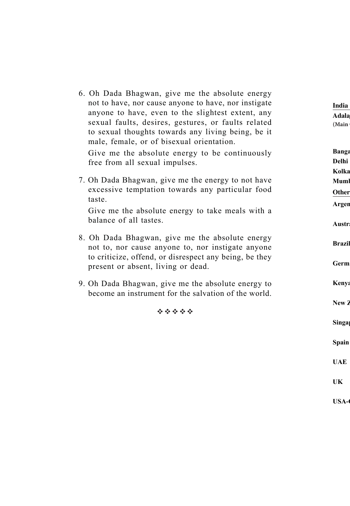6. Oh Dada Bhagwan, give me the absolute energy not to have, nor cause anyone to have, nor instigate anyone to have, even to the slightest extent, any sexual faults, desires, gestures, or faults related to sexual thoughts towards any living being, be it male, female, or of bisexual orientation.

 Give me the absolute energy to be continuously free from all sexual impulses.

7. Oh Dada Bhagwan, give me the energy to not have excessive temptation towards any particular food taste.

 Give me the absolute energy to take meals with a balance of all tastes.

- 8. Oh Dada Bhagwan, give me the absolute energy not to, nor cause anyone to, nor instigate anyone to criticize, offend, or disrespect any being, be they present or absent, living or dead.
- 9. Oh Dada Bhagwan, give me the absolute energy to become an instrument for the salvation of the world.

经合金合金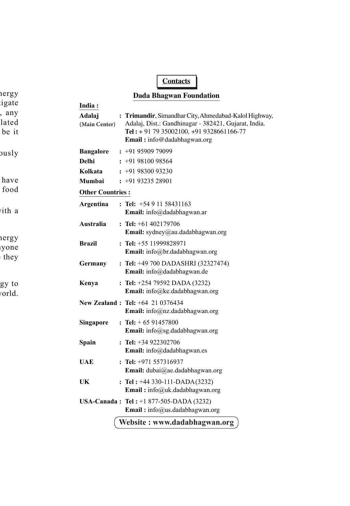## **Contacts**

#### **Dada Bhagwan Foundation**

| India:                  |                                                                                                                                                                                          |  |  |  |
|-------------------------|------------------------------------------------------------------------------------------------------------------------------------------------------------------------------------------|--|--|--|
| Adalaj<br>(Main Center) | : Trimandir, Simandhar City, Ahmedabad-Kalol Highway,<br>Adalaj, Dist.: Gandhinagar - 382421, Gujarat, India.<br>Tel: + 91 79 35002100, +91 9328661166-77<br>Email: info@dadabhagwan.org |  |  |  |
| <b>Bangalore</b>        | $: +919590979099$                                                                                                                                                                        |  |  |  |
| Delhi                   | $: +919810098564$                                                                                                                                                                        |  |  |  |
| Kolkata                 | $: +919830093230$                                                                                                                                                                        |  |  |  |
| Mumbai                  | $: +919323528901$                                                                                                                                                                        |  |  |  |
| <b>Other Countries:</b> |                                                                                                                                                                                          |  |  |  |
| Argentina               | : Tel: $+5491158431163$<br>Email: info@dadabhagwan.ar                                                                                                                                    |  |  |  |
| Australia               | : Tel: $+61\,402179706$<br>Email: sydney@au.dadabhagwan.org                                                                                                                              |  |  |  |
| <b>Brazil</b>           | $:$ Tel: $+55$ 11999828971<br>Email: info@br.dadabhagwan.org                                                                                                                             |  |  |  |
| Germany                 | : Tel: $+49700$ DADASHRI (32327474)<br>Email: info@dadabhagwan.de                                                                                                                        |  |  |  |
| Kenya                   | : Tel: $+25479592$ DADA (3232)<br>Email: info@ke.dadabhagwan.org                                                                                                                         |  |  |  |
|                         | <b>New Zealand: Tel:</b> +64 21 0376434<br>Email: info@nz.dadabhagwan.org                                                                                                                |  |  |  |
| <b>Singapore</b>        | : Tel: $+6591457800$<br>Email: info@sg.dadabhagwan.org                                                                                                                                   |  |  |  |
| Spain                   | $:$ Tel: $+34922302706$<br>Email: info@dadabhagwan.es                                                                                                                                    |  |  |  |
| UAE                     | $:$ Tel: $+971$ 557316937<br>Email: dubai@ae.dadabhagwan.org                                                                                                                             |  |  |  |
| UK                      | : Tel: $+44$ 330-111-DADA(3232)<br>Email: info@uk.dadabhagwan.org                                                                                                                        |  |  |  |
|                         | <b>USA-Canada: Tel:</b> +1 877-505-DADA (3232)<br>Email: info@us.dadabhagwan.org                                                                                                         |  |  |  |
|                         | Website: www.dadabhagwan.org                                                                                                                                                             |  |  |  |